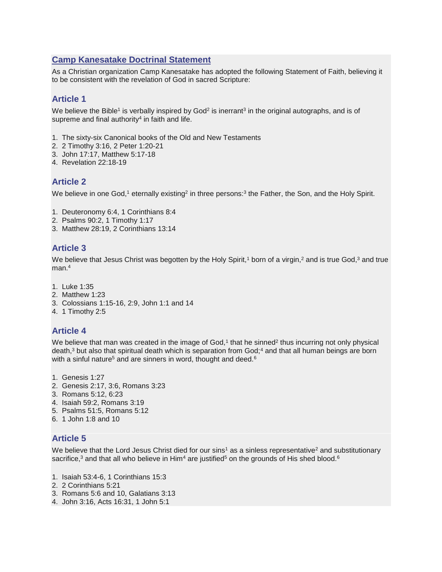#### **Camp Kanesatake Doctrinal Statement**

As a Christian organization Camp Kanesatake has adopted the following Statement of Faith, believing it to be consistent with the revelation of God in sacred Scripture:

#### **Article 1**

We believe the Bible<sup>1</sup> is verbally inspired by God<sup>2</sup> is inerrant<sup>3</sup> in the original autographs, and is of supreme and final authority<sup>4</sup> in faith and life.

- 1. The sixty-six Canonical books of the Old and New Testaments
- 2. 2 Timothy 3:16, 2 Peter 1:20-21
- 3. John 17:17, Matthew 5:17-18
- 4. Revelation 22:18-19

#### **Article 2**

We believe in one God,<sup>1</sup> eternally existing<sup>2</sup> in three persons:<sup>3</sup> the Father, the Son, and the Holy Spirit.

- 1. Deuteronomy 6:4, 1 Corinthians 8:4
- 2. Psalms 90:2, 1 Timothy 1:17
- 3. Matthew 28:19, 2 Corinthians 13:14

### **Article 3**

We believe that Jesus Christ was begotten by the Holy Spirit,<sup>1</sup> born of a virgin,<sup>2</sup> and is true God,<sup>3</sup> and true man.<sup>4</sup>

- 1. Luke 1:35
- 2. Matthew 1:23
- 3. Colossians 1:15-16, 2:9, John 1:1 and 14
- 4. 1 Timothy 2:5

### **Article 4**

We believe that man was created in the image of God, $1$  that he sinned<sup>2</sup> thus incurring not only physical death,<sup>3</sup> but also that spiritual death which is separation from God;<sup>4</sup> and that all human beings are born with a sinful nature<sup>5</sup> and are sinners in word, thought and deed.<sup>6</sup>

- 1. Genesis 1:27
- 2. Genesis 2:17, 3:6, Romans 3:23
- 3. Romans 5:12, 6:23
- 4. Isaiah 59:2, Romans 3:19
- 5. Psalms 51:5, Romans 5:12
- 6. 1 John 1:8 and 10

### **Article 5**

We believe that the Lord Jesus Christ died for our sins<sup>1</sup> as a sinless representative<sup>2</sup> and substitutionary sacrifice,<sup>3</sup> and that all who believe in Him<sup>4</sup> are justified<sup>5</sup> on the grounds of His shed blood.<sup>6</sup>

- 1. Isaiah 53:4-6, 1 Corinthians 15:3
- 2. 2 Corinthians 5:21
- 3. Romans 5:6 and 10, Galatians 3:13
- 4. John 3:16, Acts 16:31, 1 John 5:1